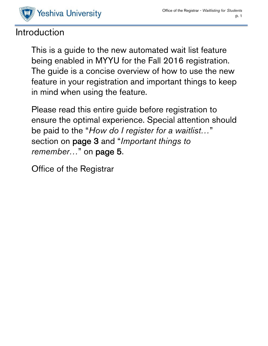

# Introduction

This is a guide to the new automated wait list feature being enabled in MYYU for the Fall 2016 registration. The guide is a concise overview of how to use the new feature in your registration and important things to keep in mind when using the feature.

Please read this entire guide before registration to ensure the optimal experience. Special attention should be paid to the "*How do I register for a waitlist…*" section on page 3 and "*Important things to remember…*" on page 5.

Office of the Registrar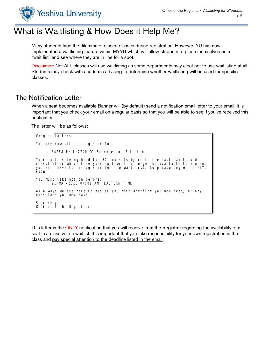

# What is Waitlisting & How Does it Help Me?

Many students face the dilemma of closed classes during registration. However, YU has now implemented a waitlisting feature within MYYU which will allow students to place themselves on a "wait list" and see where they are in line for a spot.

Disclaimer: Not ALL classes will use waitlisting as some departments may elect not to use waitlisting at all. Students may check with academic advising to determine whether waitlisting will be used for specific classes.

### The Notification Letter

When a seat becomes available Banner will (by default) send a notification email letter to your email. It is important that you check your email on a regular basis so that you will be able to see if you've received this notification.

The letter will be as follows:

Congratul ations, You are now able to register for 34288 PHIL 2740 D1 Science and Religion Your spot is being held for 30 hours (subject to the last day to add a class) after which time your spot will no longer be available to you and you will have to re-register for the wait list. So please log on to MYYU soon. You must take action before: 21-MAR-2016 04:01 AM EASTERN TIME As always we are here to assist you with anything you may need, or any questions you may have. Sincerely, Office of the Registrar

This letter is the ONLY notification that you will receive from the Registrar regarding the availability of a seat in a class with a waitlist. It is important that you take responsibility for your own registration in the class and pay special attention to the deadline listed in the email.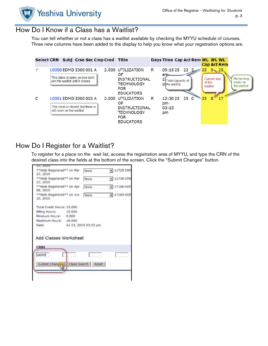

## How Do I Know if a Class has a Waitlist?

You can tell whether or not a class has a waitlist available by checking the MYYU schedule of courses. Three new columns have been added to the display to help you know what your registration options are.



# How Do I Register for a Waitlist?

To register for a place on the wait list, access the registration area of MYYU, and type the CRN of the desired class into the fields at the bottom of the screen. Click the "Submit Changes" button.

| None                                                                                                                                                                                        |                                                                             |                                                                                          |
|---------------------------------------------------------------------------------------------------------------------------------------------------------------------------------------------|-----------------------------------------------------------------------------|------------------------------------------------------------------------------------------|
| None                                                                                                                                                                                        |                                                                             |                                                                                          |
| None                                                                                                                                                                                        |                                                                             |                                                                                          |
| None                                                                                                                                                                                        |                                                                             |                                                                                          |
|                                                                                                                                                                                             |                                                                             |                                                                                          |
|                                                                                                                                                                                             |                                                                             |                                                                                          |
|                                                                                                                                                                                             |                                                                             |                                                                                          |
|                                                                                                                                                                                             |                                                                             |                                                                                          |
|                                                                                                                                                                                             |                                                                             |                                                                                          |
|                                                                                                                                                                                             |                                                                             |                                                                                          |
|                                                                                                                                                                                             |                                                                             |                                                                                          |
|                                                                                                                                                                                             |                                                                             |                                                                                          |
|                                                                                                                                                                                             |                                                                             |                                                                                          |
| **Web Registered** on Mar<br>**Web Registered** on Apr<br>**Web Registered** on Jun<br>Total Credit Hours: 15,000<br>Billing Hours: 15.000<br>Minimum Hours: 0.000<br>Maximum Hours: 18.000 | **Web Registered** on Mar<br>Jul 13, 2010 03:23 pm<br>Add Classes Worksheet | 11725 CMD<br>$-11736$ CMD<br>$\overline{=}$ 17168 HDF<br>$\blacktriangleright$ 17169 HDP |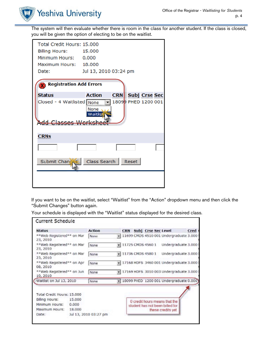

The system will then evaluate whether there is room in the class for another student. If the class is closed, you will be given the option of electing to be on the waitlist.

| Total Credit Hours: 15.000<br><b>Billing Hours:</b><br>Minimum Hours: 0.000<br>Maximum Hours: 18,000<br>Date: | 15,000<br>Jul 13, 2010 03:24 pm |            |       |                      |  |  |  |  |  |
|---------------------------------------------------------------------------------------------------------------|---------------------------------|------------|-------|----------------------|--|--|--|--|--|
| <b>Registration Add Errors</b>                                                                                |                                 |            |       |                      |  |  |  |  |  |
| <b>Status</b>                                                                                                 | <b>Action</b>                   | <b>CRN</b> |       | <b>Subj Crse Sec</b> |  |  |  |  |  |
| Closed - 4 Waitlisted None<br>18099 PHED 1200 001<br>None<br>Maitlis<br><b>Add Classes Worksk</b>             |                                 |            |       |                      |  |  |  |  |  |
| <b>CRNs</b>                                                                                                   |                                 |            |       |                      |  |  |  |  |  |
|                                                                                                               |                                 |            |       |                      |  |  |  |  |  |
| Submit Chang                                                                                                  | Class Search                    |            | Reset |                      |  |  |  |  |  |
|                                                                                                               |                                 |            |       |                      |  |  |  |  |  |

If you want to be on the waitlist, select "Waitlist" from the "Action" dropdown menu and then click the "Submit Changes" button again.

Your schedule is displayed with the "Waitlist" status displayed for the desired class.

| <b>Status</b>                                                                             |                           | <b>Action</b>         |  |                          | <b>CRN</b> Subj Crse Sec Level                                                        | <b>Cred</b> |
|-------------------------------------------------------------------------------------------|---------------------------|-----------------------|--|--------------------------|---------------------------------------------------------------------------------------|-------------|
| ** Web Registered** on Mar<br>23, 2010                                                    |                           | None                  |  |                          | - 11699 CMDS 4510 001 Undergraduate 3.000                                             |             |
| **Web Registered** on Mar<br>23, 2010                                                     |                           | None                  |  | $\neq$ 11725 CMDS 4560 1 | Undergraduate 3.000                                                                   |             |
| **Web Registered** on Mar<br>23, 2010                                                     |                           | None                  |  |                          | 11736 CMDS 4580 1 Undergraduate 3.000                                                 |             |
| **Web Registered** on Apr<br>08, 2010                                                     |                           | None                  |  |                          | $\neq$ 17168 HDFS 3460 001 Undergraduate 3.000                                        |             |
| **Web Registered** on Jun<br>10, 2010                                                     |                           | None                  |  |                          | $\overline{=}$ 17169 HDFS 3010 003 Undergraduate 3.000                                |             |
| Waitlist on Jul 13, 2010                                                                  |                           | None                  |  |                          | - 18099 PHED 1200 001 Undergraduate 0.000                                             |             |
| Total Credit Hours: 15.000<br>Billing Hours:<br>Minimum Hours:<br>Maximum Hours:<br>Date: | 15,000<br>0.000<br>18,000 | Jul 13, 2010 03:27 pm |  |                          | 0 credit hours means that the<br>student has not been billed for<br>these credits yet |             |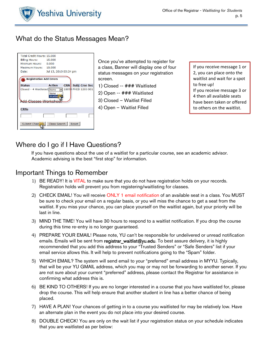

# What do the Status Messages Mean?



Once you've attempted to register for a class, Banner will display one of four status messages on your registration screen.

1) Closed -- ### Waitlisted

- 2) Open -- ### Waitlisted
- 3) Closed Waitlist Filled
- 4) Open Waitlist Filled

If you receive message 1 or 2, you can place onto the waitlist and wait for a spot to free up! If you receive message 3 or 4 then all available seats have been taken or offered to others on the waitlist.

# Where do I go if I Have Questions?

If you have questions about the use of a waitlist for a particular course, see an academic advisor. Academic advising is the best "first stop" for information.

### Important Things to Remember

- 1) BE READY! It is VITAL to make sure that you do not have registration holds on your records. Registration holds will prevent you from registering/waitlisting for classes.
- 2) CHECK EMAIL! You will receive ONLY 1 email notification of an available seat in a class. You MUST be sure to check your email on a regular basis, or you will miss the chance to get a seat from the waitlist. If you miss your chance, you can place yourself on the waitlist again, but your priority will be last in line.
- 3) MIND THE TIME! You will have 30 hours to respond to a waitlist notification. If you drop the course during this time re-entry is no longer guaranteed.
- 4) PREPARE YOUR EMAIL! Please note, YU can't be responsible for undelivered or unread notification emails. Emails will be sent from registrar waitlist@yu.edu. To best assure delivery, it is highly recommended that you add this address to your "Trusted Senders" or "Safe Senders" list if your email service allows this. It will help to prevent notifications going to the "Spam" folder.
- 5) WHICH EMAIL? The system will send email to your "preferred" email address in MYYU. Typically, that will be your YU GMAIL address, which you may or may not be forwarding to another server. If you are not sure about your current "preferred" address, please contact the Registrar for assistance in confirming what address this is.
- 6) BE KIND TO OTHERS! If you are no longer interested in a course that you have waitlisted for, please drop the course. This will help ensure that another student in line has a better chance of being placed.
- 7) HAVE A PLAN! Your chances of getting in to a course you waitlisted for may be relatively low. Have an alternate plan in the event you do not place into your desired course.
- 8) DOUBLE CHECK! You are only on the wait list if your registration status on your schedule indicates that you are waitlisted as per below: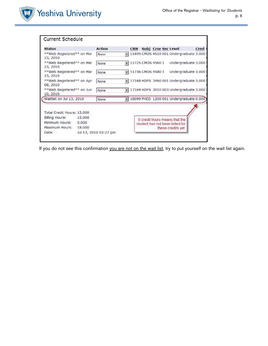

| <b>Status</b>                                                                                                                                                    |                           | <b>Action</b>                |                                          | <b>CRN</b> |  |  |  | Subj Crse Sec Level                                                                   | <b>Cred</b> |
|------------------------------------------------------------------------------------------------------------------------------------------------------------------|---------------------------|------------------------------|------------------------------------------|------------|--|--|--|---------------------------------------------------------------------------------------|-------------|
| **Web Registered** on Mar<br>23, 2010                                                                                                                            |                           | None                         |                                          |            |  |  |  | - 11699 CMDS 4510 001 Undergraduate 3.000                                             |             |
| **Web Registered** on Mar<br>23, 2010<br>**Web Registered** on Mar<br>23, 2010<br>**Web Registered** on Apr<br>08, 2010<br>**Web Registered** on Jun<br>10, 2010 |                           | None<br>None<br>None<br>None | ¥ 11725 CMDS 4560 1<br>11736 CMDS 4580 1 |            |  |  |  | Undergraduate 3.000<br>Undergraduate 3.000                                            |             |
|                                                                                                                                                                  |                           |                              |                                          |            |  |  |  |                                                                                       |             |
|                                                                                                                                                                  |                           |                              |                                          |            |  |  |  | + 17168 HDFS 3460 001 Undergraduate 3.000                                             |             |
|                                                                                                                                                                  |                           |                              |                                          |            |  |  |  | 17169 HDFS 3010 003 Undergraduate 3.000                                               |             |
| Waitlist on Jul 13, 2010                                                                                                                                         |                           | None                         |                                          |            |  |  |  | - 18099 PHED 1200 001 Undergraduate 0.000                                             |             |
| Total Credit Hours: 15.000<br>Billing Hours:<br>Minimum Hours:<br>Maximum Hours:<br>Date:                                                                        | 15,000<br>0.000<br>18,000 | Jul 13, 2010 03:27 pm        |                                          |            |  |  |  | 0 credit hours means that the<br>student has not been billed for<br>these credits yet |             |

If you do not see this confirmation you are not on the wait list, try to put yourself on the wait list again.